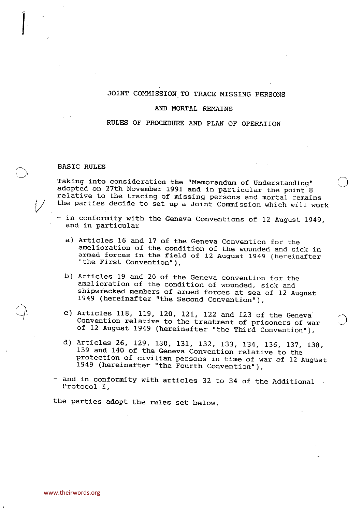# JOINT COMMISSION TO TRACE MISSING PERSONS

# AND MORTAL REMAINS

# RULES OF PROCEDURE AND PLAN OF OPERATION

# BASIC RULES

ا<br>|<br>|<br>|<br>|

Taking into consideration the "Memorandum of Understanding" adopted on 27th November 1991 and in particular the point 8 relative to the tracing of missing persons and mortal remains the parties decide to set up <sup>a</sup> Joint Commission which will work

- in conformity with the Geneva Conventions of 12 August 1949, and in particular
	- a) Articles 16 and 17 of the Geneva Convention for the amelioration of the condition of the wounded and sick in armed forces in the field of 12 August 1949 (hereinafter "the First Convention"),
- b) Articles 19 and 20 of the Geneva convention for the amelioration of the condition of wounded, sick and shipwrecked members of armed forces at sea of 12 August 1949 (hereinafter "the Second Convention"),
- c) Articles 118, 119, 120, 121, 122 and 123 of the Geneva<br>Convention relative to the treatment of prisoners of war of 12 August 1949 (hereinafter "the Third Convention"),
- d) Articles 26, 129, 130, 131, 132, 133, 134, 136, 137, 138, 139 and 140 of the Geneva Convention relative to the protection of civilian persons in time of war of 12 August 1949 (hereinafter "the Fourth Convention"),
- and in conformity with articles 32 to 34 of the Additional Protocol I,

the parties adopt the rules set below.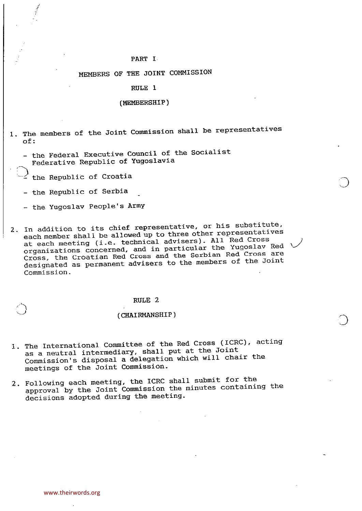# PART I

# MEMBERS OF THE JOINT COMMISSION

# RULE<sub>1</sub>

#### (MEMBERSHIP)

- 1. The members of the Joint Commission shall be representatives of:
	- the Federal Executive Council of the Socialist Federative Republic of Yugoslavia
	- $\le$  the Republic of Croatia

-1

- the Republic of Serbia
- the Yugoslav People's Army
- 2. In addition to its chief representative, or his substitute, each member shall be allowed up to three other representatives at each meeting (i.e. technical advisers). All Red Cross organizations concerned, and in particular the Yugoslav Red \ Cross, the Croatian Red Cross and the Serbian Red Cross are designated as permanent advisers to the members of the Joint Commission.

# RULE 2

#### (CHAIRMANSHIP)

- 1. The International Committee of the Red Cross (ICRC), acting as <sup>a</sup> neutral intermediary, shall put at the Joint Commission's disposal <sup>a</sup> delegation which will chair the meetings of the Joint Commission.
- 2. Following each meeting, the ICRC shall submit for the approval by the Joint Commission the minutes containing the decisions adopted during the meeting.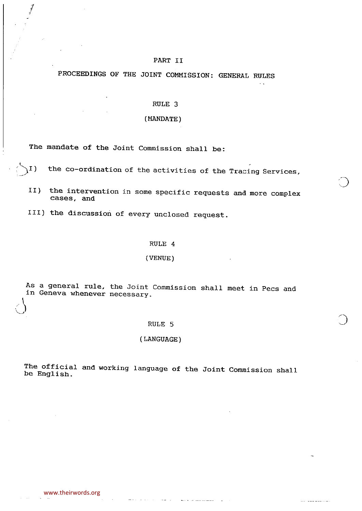# PART II

PROCEEDINGS OF THE JOINT COMMISSION: GENERAL RULES

# RULE<sub>3</sub>

# (MANDATE)

The mandate of the Joint Commission shall be:

 $\overline{4}$  -contracts to the contracts of  $\overline{4}$ 

 $\Lambda^{[1]}$ ) the co-ordination of the activities of the Tracing Services,

II) the intervention in some specific requests and more complex cases, and

III) the discussion of every unclosed request.

#### RULE 4

#### (VENUE)

As <sup>a</sup> general rule, the Joint Commission shall meet in Pecs and in Geneva whenever necessary.  $\beta$  defined by  $\beta$  and  $\beta$  defined by  $\beta$ 

## RULE 5

# (LANGUAGE)

The official and working language of the Joint Commission shall be English.

وتقطع ويواصينا المرارية المسا

... ............

 $\bigcirc$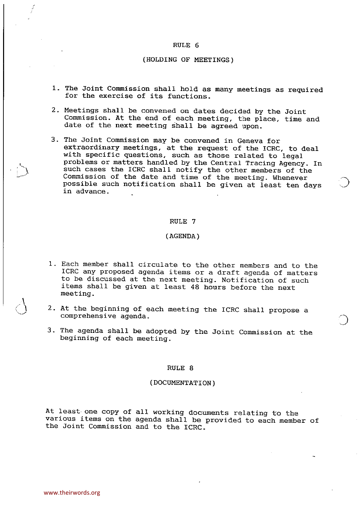#### (HOLDING OF MEETINGS)

- 1. The Joint Commission shall hold as many meetings as required for the exercise of its functions.
- 2. Meetings shall be convened on dates decided by the Joint Commission. At the end of each meeting, the place, time and date of the next meeting shall be agreed upon.
- 3. The Joint Commission may be convened in Geneva for extraordinary meetings, at the request of the ICRC, to deal with specific questions, such as those related to legal problems or matters handled by the Central Tracing Agency. In such cases the ICRC shall notify the other members of the Commission of the date and time of the meeting. Whenever possible such notification shall be given at least ten days in advance.

#### RULE 7

# (AGENDA)

- 1. Each member shall circulate to the other members and to the ICRC any proposed agenda items or <sup>a</sup> draft agenda of matters to be discussed at the next meeting. Notification of such items shall be given at least 48 hours before the next meeting.
- 2. At the beginning of each meeting the ICRC shall propose <sup>a</sup> comprehensive agenda.
- 3. The agenda shall be adopted by the Joint Commission at the beginning of each meeting.

#### RULE 8

## (DOCUNENTATION)

At least- one copy of all working documents relating to the various items on the agenda shall be provided to each member of the Joint Commission and to the ICRC.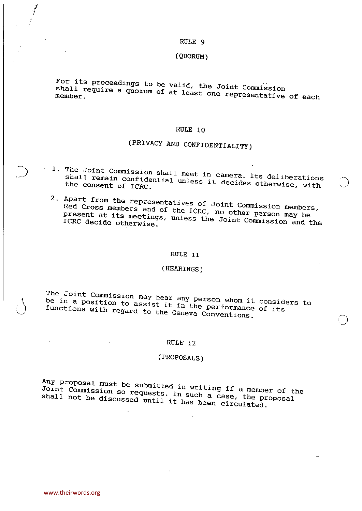#### (QUORUM)

For its proceedings to be valid, the Joint Commission shall require a quorum of at least one Joint Commission member.

#### RULE 10

# (PRIVACy AND CONFIDENTIALITy)

- $1.$  The Joint Commission shall meet in capacitation shall meet in capacitations of  $\overline{a}$ shall remain confidential meet in camera. Its deliberation shall remain confidential unless it decides otherwise, with the consent of ICRC.
- 2. Apart from the representatives of  $\mathcal{L}$ Red Cross members and of the IGRC, JOINT Commission member present at its meetings, unless the  $\tilde{J}$  in other person may be ICRC decide otherwise

#### RULE 11

# (HEARINGS)

The Joint Commission may been be in a position to assist it in person whom it consid be in a position to assist it in the performance of its functions with regard to the Geneva Conventions.

# RULE 12

# (PROPOSALS)

 $Any$  proposal must be extended in writing in  $an x$ Joint Commission so requests. In writing if a member of the proposal case, the proposal case, the proposal case,  $\frac{1}{2}$ Joint Commission so requests. In such a case, the proposal shall not be discussed until it has been circulated.

i<br>Islam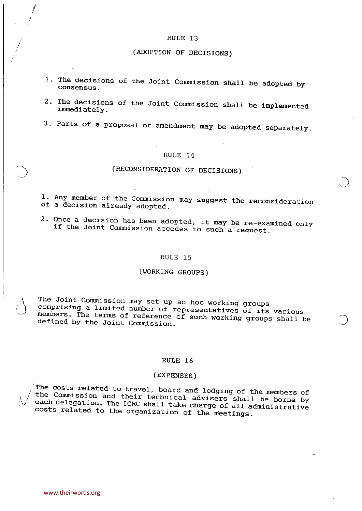# (ADOPTION OF DECISIONS)

- 1. The decisions of the Joint Commission shall be adopted by consensus.
- 2. The decisions of the Joint Commission shall be implemented immediately.
- 3. Parts of <sup>a</sup> proposal or amendment may be adopted separately.

#### RULE 14

# (RECONSIDERATION OF DECISIONS)

 $\bigcirc$ 

1. Any member of the Commission may suggest the reconsideration of <sup>a</sup> decision already adopted.

2. Once <sup>a</sup> decision has been adopted, it may be re—examined only if the Joint Commission accedes to such <sup>a</sup> request.

#### RULE 15

# (WORKING GROUPS)

The Joint Commission may set up ad hoc working groups<br>N comprising a limited number of representatives of its various  $\bigcup$  comprising a limited number of representatives of  $\overline{1}$  its various members. The terms of reference of such working groups with  $\overline{1}$ members. The terms of reference of such working groups shall be defined by the Joint Commission.

#### RULE 16

## (EXPENSES)

The costs related to travel, board and lodging of the members of the Commission and their technical advisers shall be borne by each delegation. The ICRC shall take charge of all administrative costs related to the organization of the meetings.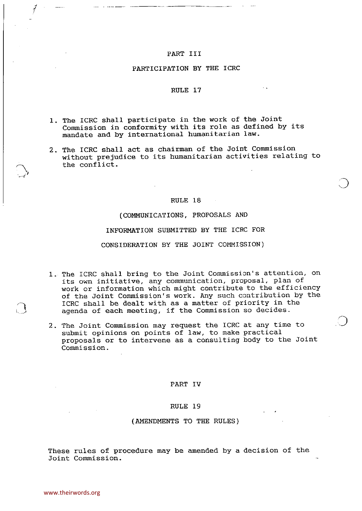## PART III

#### PARTICIPATION BY THE ICRC

#### RULE 17

- 1. The ICRC shall participate in the work of the Joint Commission in conformity with its role as defined by its mandate and by international humanitarian law.
- 2. The ICRC shall act as chairman of the Joint Commission without prejudice to its humanitarian activities relating to the conflict.

#### RULE 18

 $\bigcirc$ 

(COMMUNICATIONS, PROPOSALS AND INFORMATION SUBMITTED BY THE ICRC FOR CONSIDERATION BY THE JOINT COMMISSION)

- 1.- The ICRC shall bring to the Joint Commission's attention, on its own initiative, any communication, proposal, plan of work or information which might contribute to the efficiency of the Joint Commission's work. Any such contribution by the ICRC shall be dealt with as <sup>a</sup> matter of priority in the agenda of each meeting, if the Commission so decides.
- 2. The Joint Commission may request the ICRC at any time to submit opinions on points of law, to make practical proposals or to intervene as <sup>a</sup> consulting body to the Joint Commission.

#### PART IV

#### RULE 19

#### (AMENDMENTS TO THE RULES)

These rules of procedure may be amended by <sup>a</sup> decision of the Joint Commission.

-s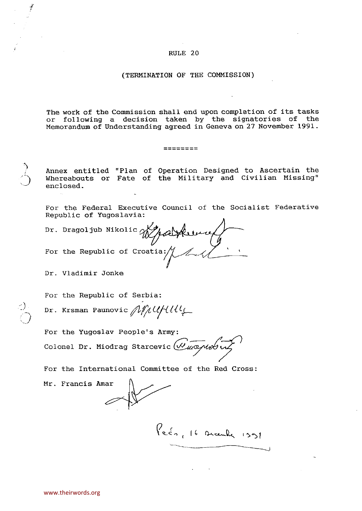## (TERMINATION OF THE COMMISSION)

The work of the Commission shall end upon completion of its tasks or following <sup>a</sup> decision taken by the signatories of the Memorandum of Understanding agreed in Geneva on <sup>27</sup> November 1991.

========

Annex entitled "Plan of Operation Designed to Ascertain the Whereabouts or Fate of the Military and Civilian Missing" enclosed -

For the Federal Executive Council of the Socialist Federative Republic of Yugoslavia;

Dr. Dragoljub Nikolic Wydd Heure For the Republic of Croatia:

Dr. Vladimir Jonke

-J

For the Republic of Serbia:

Dr. Krsman Paunovic  $\mathcal{N}\mu$ UHU!

For the Yugoslav People's Army: Colonel Dr. Miodrag Starcevic (Vuopuotu

For the International Committee of the Red Cross;

Mr. Francis Amar

:3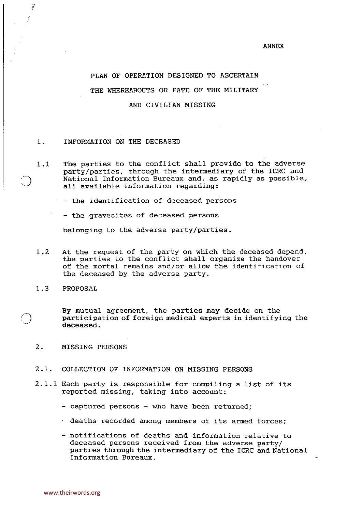#### PLAN OF OPERATION DESIGNED TO ASCERTAIN

THE WHEREABOUTS OR FATE OF THE MILITARY

AND CIVILIAN MISSING

#### 1. INFORMATION ON THE DECEASED

1.1 The parties to the conflict shall provide to the adverse party/parties, through the intermediary of the ICRC and National Information Bureaux and, as rapidly as possible, all available information regarding:

— the identification of deceased persons

- the gravesites of deceased persons

belonging to the adverse party/parties.

- 1.2 At the request of the party on which the deceased depend, the parties to the conflict shall organize the handover of the mortal remains and/or allow the identification of the deceased by the adverse party.
- 1.3 PROPOSAL

j

By mutual agreement, the parties may decide on the participation of foreign medical experts in identifying the deceased.

- 2. MISSING PERSONS
- 2.1. COLLECTION OF INFORMATION ON MISSING PERSONS
- 2.1.1 Each party is responsible for compiling <sup>a</sup> list of its reported missing, taking into account:
	- captured persons who have been returned;
	- deaths recorded among members of its armed forces;
	- notifications of deaths and information relative to deceased persons received from the adverse party/ parties through the intermediary of the ICRC and National Information Bureaux.